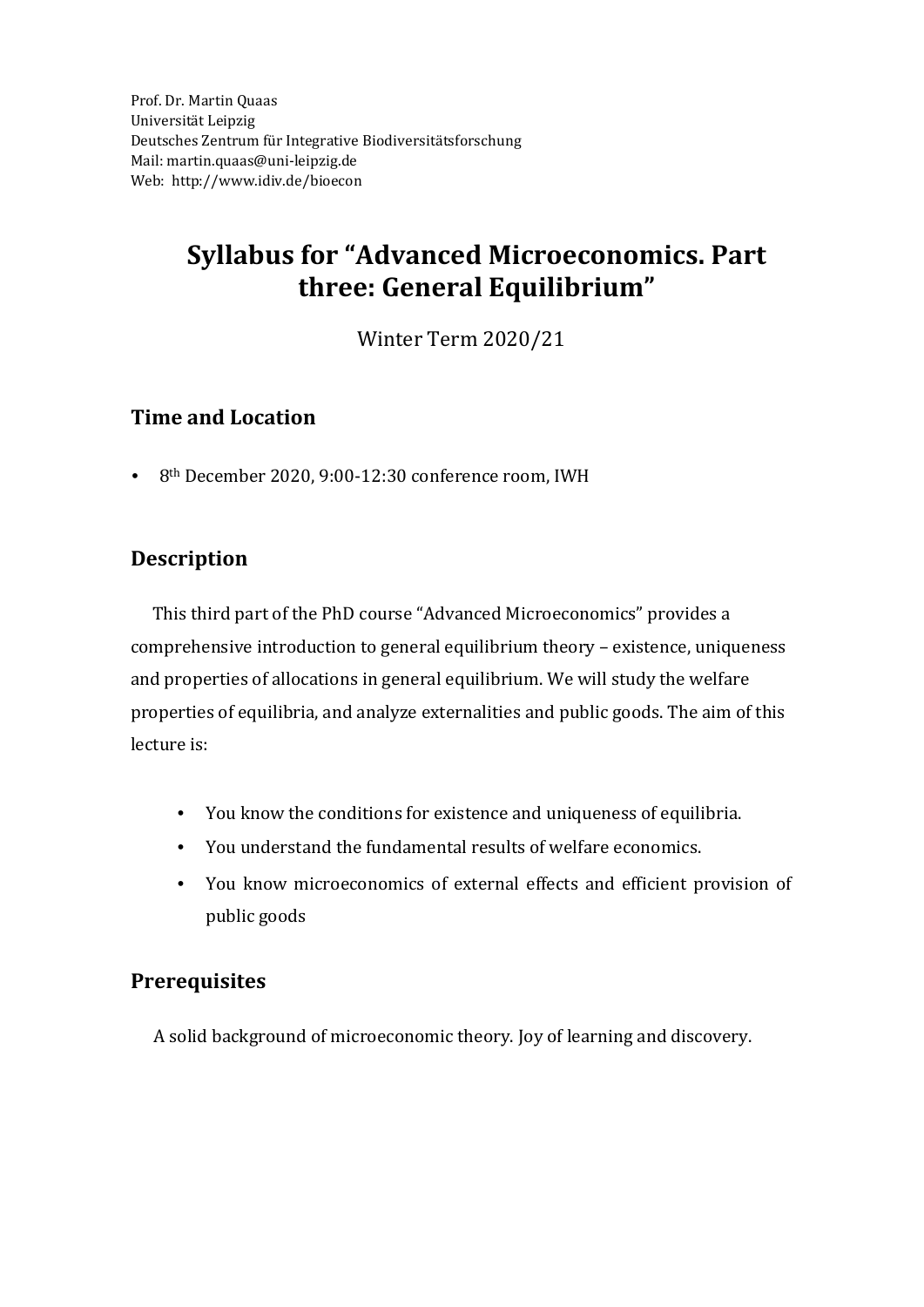Prof. Dr. Martin Quaas Universität Leipzig Deutsches Zentrum für Integrative Biodiversitätsforschung Mail: martin.quaas@uni-leipzig.de We[b:](https://sites.google.com/view/mertensmatthias/home) http://www.idiv.de/bioecon

# **Syllabus for "Advanced Microeconomics. Part three: General Equilibrium"**

Winter Term 2020/21

## **Time and Location**

8<sup>th</sup> December 2020, 9:00-12:30 conference room, IWH

# **Description**

This third part of the PhD course "Advanced Microeconomics" provides a comprehensive introduction to general equilibrium theory – existence, uniqueness and properties of allocations in general equilibrium. We will study the welfare properties of equilibria, and analyze externalities and public goods. The aim of this lecture is:

- You know the conditions for existence and uniqueness of equilibria.
- You understand the fundamental results of welfare economics.
- You know microeconomics of external effects and efficient provision of public goods

# **Prerequisites**

A solid background of microeconomic theory. Joy of learning and discovery.